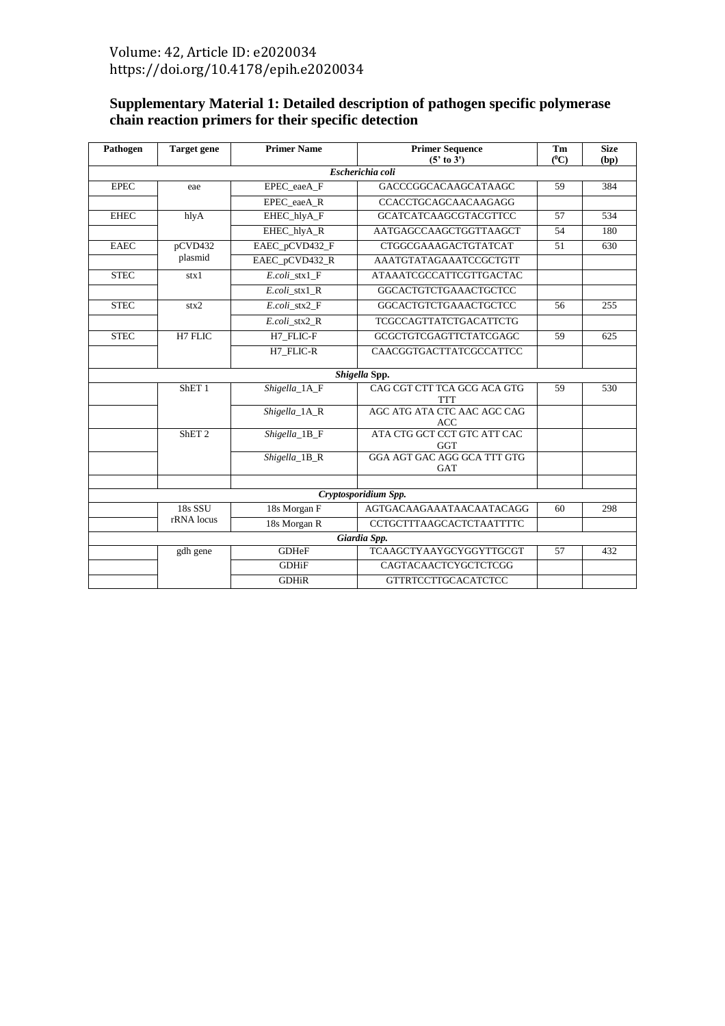## **Supplementary Material 1: Detailed description of pathogen specific polymerase chain reaction primers for their specific detection**

| Pathogen         | <b>Target gene</b>                     | <b>Primer Name</b> | <b>Primer Sequence</b><br>(5' to 3')      | Tm<br>$(^0C)$ | <b>Size</b><br>(bp) |
|------------------|----------------------------------------|--------------------|-------------------------------------------|---------------|---------------------|
| Escherichia coli |                                        |                    |                                           |               |                     |
| <b>EPEC</b>      | eae                                    | EPEC_eaeA_F        | GACCCGGCACAAGCATAAGC                      | 59            | 384                 |
|                  |                                        | EPEC eaeA R        | CCACCTGCAGCAACAAGAGG                      |               |                     |
| <b>EHEC</b>      | hlyA                                   | EHEC_hlyA_F        | <b>GCATCATCAAGCGTACGTTCC</b>              | 57            | 534                 |
|                  |                                        | EHEC_hlyA_R        | AATGAGCCAAGCTGGTTAAGCT                    | 54            | 180                 |
| <b>EAEC</b>      | pCVD432<br>plasmid                     | EAEC_pCVD432_F     | CTGGCGAAAGACTGTATCAT                      | 51            | 630                 |
|                  |                                        | EAEC_pCVD432_R     | AAATGTATAGAAATCCGCTGTT                    |               |                     |
| <b>STEC</b>      | stx1                                   | E.coli stx1 F      | ATAAATCGCCATTCGTTGACTAC                   |               |                     |
|                  |                                        | $E. coli\_stx1_R$  | GGCACTGTCTGAAACTGCTCC                     |               |                     |
| <b>STEC</b>      | str2                                   | E.coli stx2 F      | <b>GGCACTGTCTGAAACTGCTCC</b>              | 56            | 255                 |
|                  |                                        | E.coli stx2 R      | TCGCCAGTTATCTGACATTCTG                    |               |                     |
| <b>STEC</b>      | H7 FLIC                                | H7_FLIC-F          | GCGCTGTCGAGTTCTATCGAGC                    | 59            | 625                 |
|                  |                                        | H7_FLIC-R          | CAACGGTGACTTATCGCCATTCC                   |               |                     |
|                  |                                        |                    | Shigella Spp.                             |               |                     |
|                  | ShET <sub>1</sub><br>ShET <sub>2</sub> | Shigella_1A_F      | CAG CGT CTT TCA GCG ACA GTG<br><b>TTT</b> | 59            | 530                 |
|                  |                                        | Shigella_1A_R      | AGC ATG ATA CTC AAC AGC CAG<br><b>ACC</b> |               |                     |
|                  |                                        | Shigella_1B_F      | ATA CTG GCT CCT GTC ATT CAC<br><b>GGT</b> |               |                     |
|                  |                                        | Shigella_1B_R      | GGA AGT GAC AGG GCA TTT GTG<br><b>GAT</b> |               |                     |
|                  |                                        |                    |                                           |               |                     |
|                  |                                        |                    | Cryptosporidium Spp.                      |               |                     |
|                  | 18s SSU<br>rRNA locus                  | 18s Morgan F       | AGTGACAAGAAATAACAATACAGG                  | 60            | 298                 |
|                  |                                        | 18s Morgan R       | <b>CCTGCTTTAAGCACTCTAATTTTC</b>           |               |                     |
| Giardia Spp.     |                                        |                    |                                           |               |                     |
|                  | gdh gene                               | GDHeF              | TCAAGCTYAAYGCYGGYTTGCGT                   | 57            | 432                 |
|                  |                                        | <b>GDHiF</b>       | CAGTACAACTCYGCTCTCGG                      |               |                     |
|                  |                                        | <b>GDHiR</b>       | <b>GTTRTCCTTGCACATCTCC</b>                |               |                     |